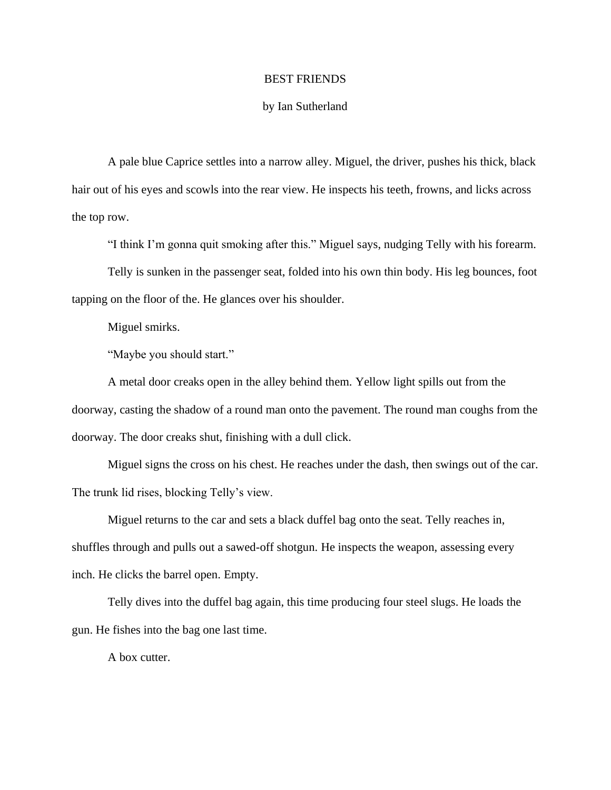## BEST FRIENDS

## by Ian Sutherland

A pale blue Caprice settles into a narrow alley. Miguel, the driver, pushes his thick, black hair out of his eyes and scowls into the rear view. He inspects his teeth, frowns, and licks across the top row.

"I think I'm gonna quit smoking after this." Miguel says, nudging Telly with his forearm.

Telly is sunken in the passenger seat, folded into his own thin body. His leg bounces, foot tapping on the floor of the. He glances over his shoulder.

Miguel smirks.

"Maybe you should start."

A metal door creaks open in the alley behind them. Yellow light spills out from the doorway, casting the shadow of a round man onto the pavement. The round man coughs from the doorway. The door creaks shut, finishing with a dull click.

Miguel signs the cross on his chest. He reaches under the dash, then swings out of the car. The trunk lid rises, blocking Telly's view.

Miguel returns to the car and sets a black duffel bag onto the seat. Telly reaches in, shuffles through and pulls out a sawed-off shotgun. He inspects the weapon, assessing every inch. He clicks the barrel open. Empty.

Telly dives into the duffel bag again, this time producing four steel slugs. He loads the gun. He fishes into the bag one last time.

A box cutter.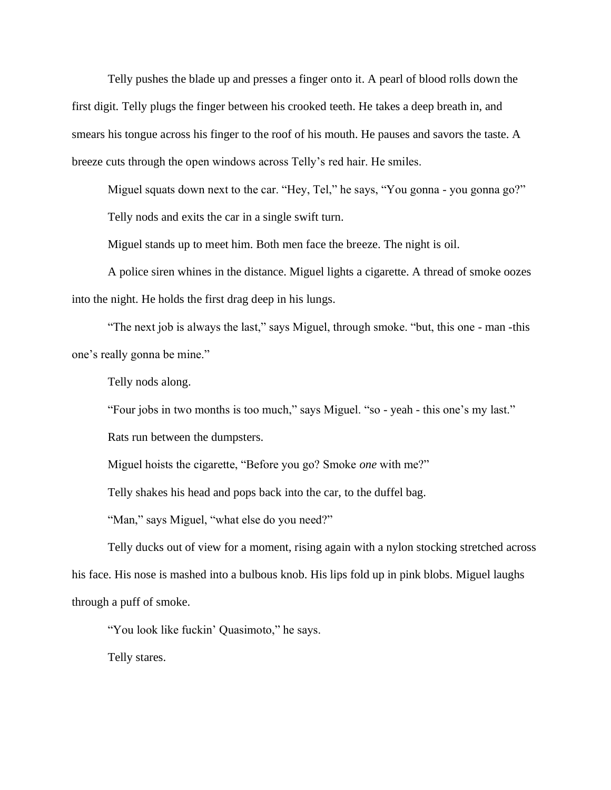Telly pushes the blade up and presses a finger onto it. A pearl of blood rolls down the first digit. Telly plugs the finger between his crooked teeth. He takes a deep breath in, and smears his tongue across his finger to the roof of his mouth. He pauses and savors the taste. A breeze cuts through the open windows across Telly's red hair. He smiles.

Miguel squats down next to the car. "Hey, Tel," he says, "You gonna - you gonna go?" Telly nods and exits the car in a single swift turn.

Miguel stands up to meet him. Both men face the breeze. The night is oil.

A police siren whines in the distance. Miguel lights a cigarette. A thread of smoke oozes into the night. He holds the first drag deep in his lungs.

"The next job is always the last," says Miguel, through smoke. "but, this one - man -this one's really gonna be mine."

Telly nods along.

"Four jobs in two months is too much," says Miguel. "so - yeah - this one's my last."

Rats run between the dumpsters.

Miguel hoists the cigarette, "Before you go? Smoke *one* with me?"

Telly shakes his head and pops back into the car, to the duffel bag.

"Man," says Miguel, "what else do you need?"

Telly ducks out of view for a moment, rising again with a nylon stocking stretched across his face. His nose is mashed into a bulbous knob. His lips fold up in pink blobs. Miguel laughs through a puff of smoke.

"You look like fuckin' Quasimoto," he says.

Telly stares.